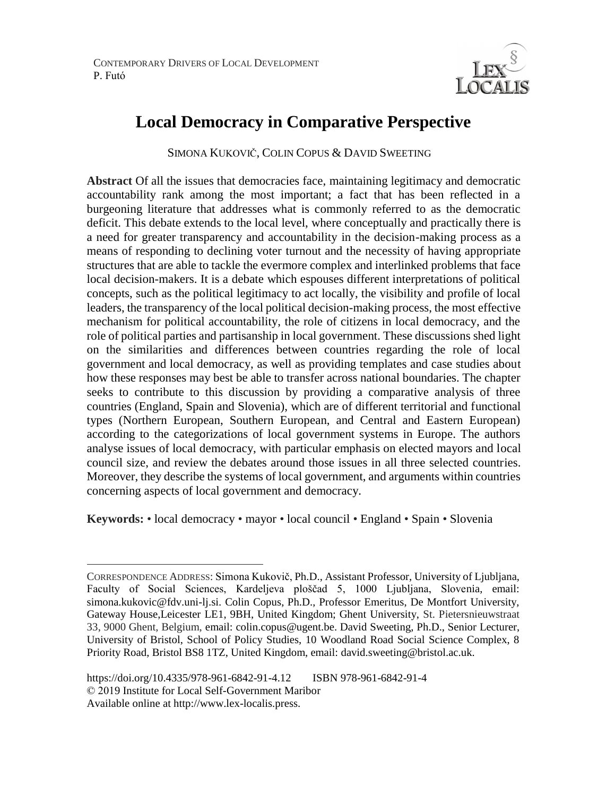

# **Local Democracy in Comparative Perspective**

SIMONA KUKOVIČ, COLIN COPUS & DAVID SWEETING

**Abstract** Of all the issues that democracies face, maintaining legitimacy and democratic accountability rank among the most important; a fact that has been reflected in a burgeoning literature that addresses what is commonly referred to as the democratic deficit. This debate extends to the local level, where conceptually and practically there is a need for greater transparency and accountability in the decision-making process as a means of responding to declining voter turnout and the necessity of having appropriate structures that are able to tackle the evermore complex and interlinked problems that face local decision-makers. It is a debate which espouses different interpretations of political concepts, such as the political legitimacy to act locally, the visibility and profile of local leaders, the transparency of the local political decision-making process, the most effective mechanism for political accountability, the role of citizens in local democracy, and the role of political parties and partisanship in local government. These discussions shed light on the similarities and differences between countries regarding the role of local government and local democracy, as well as providing templates and case studies about how these responses may best be able to transfer across national boundaries. The chapter seeks to contribute to this discussion by providing a comparative analysis of three countries (England, Spain and Slovenia), which are of different territorial and functional types (Northern European, Southern European, and Central and Eastern European) according to the categorizations of local government systems in Europe. The authors analyse issues of local democracy, with particular emphasis on elected mayors and local council size, and review the debates around those issues in all three selected countries. Moreover, they describe the systems of local government, and arguments within countries concerning aspects of local government and democracy.

**Keywords:** • local democracy • mayor • local council • England • Spain • Slovenia

 $\overline{a}$ 

CORRESPONDENCE ADDRESS: Simona Kukovič, Ph.D., Assistant Professor, University of Ljubljana, Faculty of Social Sciences, Kardeljeva ploščad 5, 1000 Ljubljana, Slovenia, email: simona.kukovic@fdv.uni-lj.si. Colin Copus, Ph.D., Professor Emeritus, De Montfort University, Gateway House,Leicester LE1, 9BH, United Kingdom; Ghent University, St. Pietersnieuwstraat 33, 9000 Ghent, Belgium, email: colin.copus@ugent.be. David Sweeting, Ph.D., Senior Lecturer, University of Bristol, School of Policy Studies, 10 Woodland Road Social Science Complex, 8 Priority Road, Bristol BS8 1TZ, United Kingdom, email: david.sweeting@bristol.ac.uk.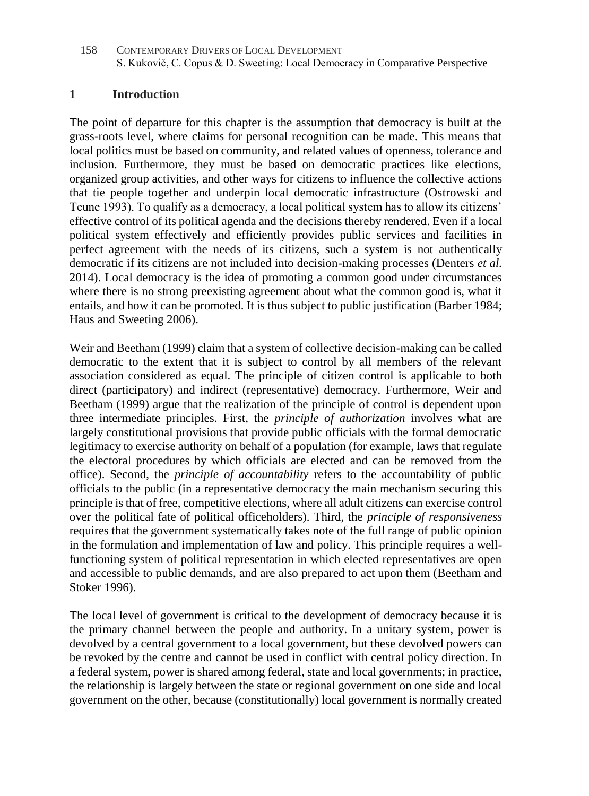#### **1 Introduction**

The point of departure for this chapter is the assumption that democracy is built at the grass-roots level, where claims for personal recognition can be made. This means that local politics must be based on community, and related values of openness, tolerance and inclusion. Furthermore, they must be based on democratic practices like elections, organized group activities, and other ways for citizens to influence the collective actions that tie people together and underpin local democratic infrastructure (Ostrowski and Teune 1993). To qualify as a democracy, a local political system has to allow its citizens' effective control of its political agenda and the decisions thereby rendered. Even if a local political system effectively and efficiently provides public services and facilities in perfect agreement with the needs of its citizens, such a system is not authentically democratic if its citizens are not included into decision-making processes (Denters *et al.* 2014). Local democracy is the idea of promoting a common good under circumstances where there is no strong preexisting agreement about what the common good is, what it entails, and how it can be promoted. It is thus subject to public justification (Barber 1984; Haus and Sweeting 2006).

Weir and Beetham (1999) claim that a system of collective decision-making can be called democratic to the extent that it is subject to control by all members of the relevant association considered as equal. The principle of citizen control is applicable to both direct (participatory) and indirect (representative) democracy. Furthermore, Weir and Beetham (1999) argue that the realization of the principle of control is dependent upon three intermediate principles. First, the *principle of authorization* involves what are largely constitutional provisions that provide public officials with the formal democratic legitimacy to exercise authority on behalf of a population (for example, laws that regulate the electoral procedures by which officials are elected and can be removed from the office). Second, the *principle of accountability* refers to the accountability of public officials to the public (in a representative democracy the main mechanism securing this principle is that of free, competitive elections, where all adult citizens can exercise control over the political fate of political officeholders). Third, the *principle of responsiveness* requires that the government systematically takes note of the full range of public opinion in the formulation and implementation of law and policy. This principle requires a wellfunctioning system of political representation in which elected representatives are open and accessible to public demands, and are also prepared to act upon them (Beetham and Stoker 1996).

The local level of government is critical to the development of democracy because it is the primary channel between the people and authority. In a unitary system, power is devolved by a central government to a local government, but these devolved powers can be revoked by the centre and cannot be used in conflict with central policy direction. In a federal system, power is shared among federal, state and local governments; in practice, the relationship is largely between the state or regional government on one side and local government on the other, because (constitutionally) local government is normally created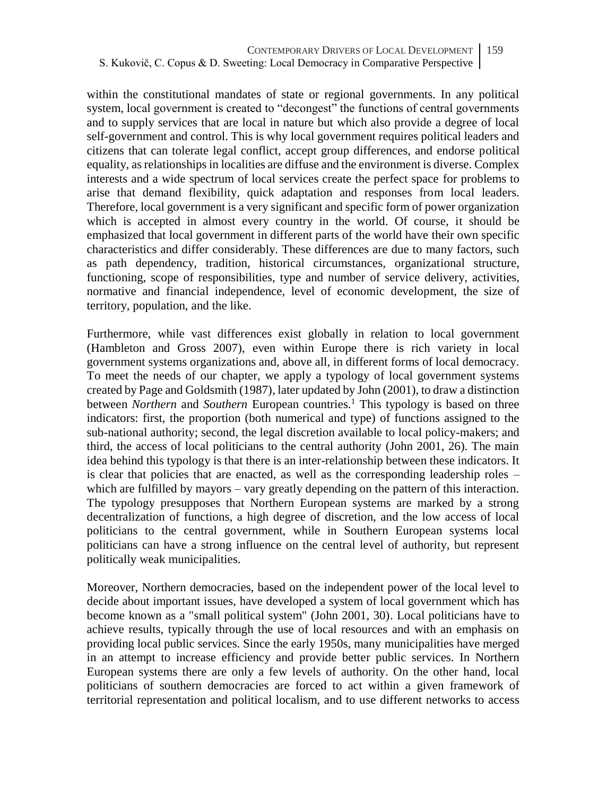within the constitutional mandates of state or regional governments. In any political system, local government is created to "decongest" the functions of central governments and to supply services that are local in nature but which also provide a degree of local self-government and control. This is why local government requires political leaders and citizens that can tolerate legal conflict, accept group differences, and endorse political equality, as relationships in localities are diffuse and the environment is diverse. Complex interests and a wide spectrum of local services create the perfect space for problems to arise that demand flexibility, quick adaptation and responses from local leaders. Therefore, local government is a very significant and specific form of power organization which is accepted in almost every country in the world. Of course, it should be emphasized that local government in different parts of the world have their own specific characteristics and differ considerably. These differences are due to many factors, such as path dependency, tradition, historical circumstances, organizational structure, functioning, scope of responsibilities, type and number of service delivery, activities, normative and financial independence, level of economic development, the size of territory, population, and the like.

Furthermore, while vast differences exist globally in relation to local government (Hambleton and Gross 2007), even within Europe there is rich variety in local government systems organizations and, above all, in different forms of local democracy. To meet the needs of our chapter, we apply a typology of local government systems created by Page and Goldsmith (1987), later updated by John (2001), to draw a distinction between *Northern* and *Southern* European countries.<sup>1</sup> This typology is based on three indicators: first, the proportion (both numerical and type) of functions assigned to the sub-national authority; second, the legal discretion available to local policy-makers; and third, the access of local politicians to the central authority (John 2001, 26). The main idea behind this typology is that there is an inter-relationship between these indicators. It is clear that policies that are enacted, as well as the corresponding leadership roles – which are fulfilled by mayors – vary greatly depending on the pattern of this interaction. The typology presupposes that Northern European systems are marked by a strong decentralization of functions, a high degree of discretion, and the low access of local politicians to the central government, while in Southern European systems local politicians can have a strong influence on the central level of authority, but represent politically weak municipalities.

Moreover, Northern democracies, based on the independent power of the local level to decide about important issues, have developed a system of local government which has become known as a "small political system" (John 2001, 30). Local politicians have to achieve results, typically through the use of local resources and with an emphasis on providing local public services. Since the early 1950s, many municipalities have merged in an attempt to increase efficiency and provide better public services. In Northern European systems there are only a few levels of authority. On the other hand, local politicians of southern democracies are forced to act within a given framework of territorial representation and political localism, and to use different networks to access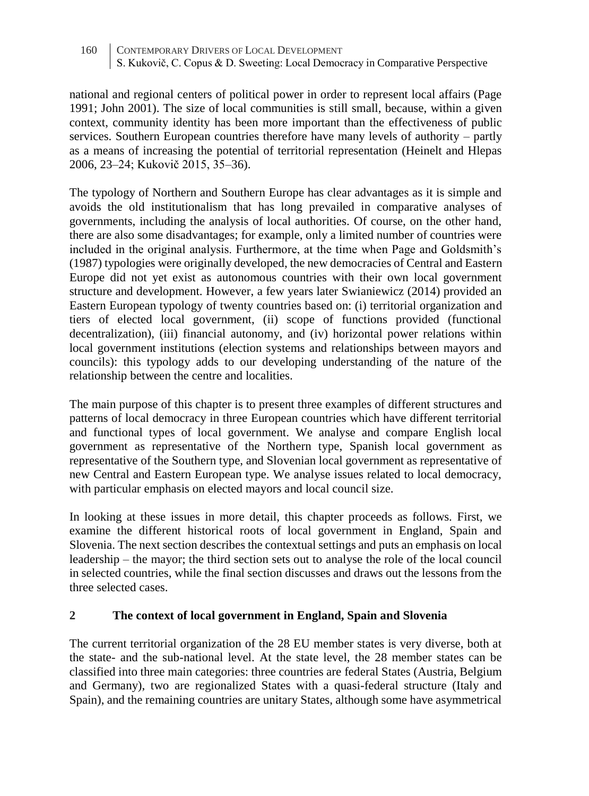national and regional centers of political power in order to represent local affairs (Page 1991; John 2001). The size of local communities is still small, because, within a given context, community identity has been more important than the effectiveness of public services. Southern European countries therefore have many levels of authority – partly as a means of increasing the potential of territorial representation (Heinelt and Hlepas 2006, 23–24; Kukovič 2015, 35–36).

The typology of Northern and Southern Europe has clear advantages as it is simple and avoids the old institutionalism that has long prevailed in comparative analyses of governments, including the analysis of local authorities. Of course, on the other hand, there are also some disadvantages; for example, only a limited number of countries were included in the original analysis. Furthermore, at the time when Page and Goldsmith's (1987) typologies were originally developed, the new democracies of Central and Eastern Europe did not yet exist as autonomous countries with their own local government structure and development. However, a few years later Swianiewicz (2014) provided an Eastern European typology of twenty countries based on: (i) territorial organization and tiers of elected local government, (ii) scope of functions provided (functional decentralization), (iii) financial autonomy, and (iv) horizontal power relations within local government institutions (election systems and relationships between mayors and councils): this typology adds to our developing understanding of the nature of the relationship between the centre and localities.

The main purpose of this chapter is to present three examples of different structures and patterns of local democracy in three European countries which have different territorial and functional types of local government. We analyse and compare English local government as representative of the Northern type, Spanish local government as representative of the Southern type, and Slovenian local government as representative of new Central and Eastern European type. We analyse issues related to local democracy, with particular emphasis on elected mayors and local council size.

In looking at these issues in more detail, this chapter proceeds as follows. First, we examine the different historical roots of local government in England, Spain and Slovenia. The next section describes the contextual settings and puts an emphasis on local leadership – the mayor; the third section sets out to analyse the role of the local council in selected countries, while the final section discusses and draws out the lessons from the three selected cases.

### **2 The context of local government in England, Spain and Slovenia**

The current territorial organization of the 28 EU member states is very diverse, both at the state- and the sub-national level. At the state level, the 28 member states can be classified into three main categories: three countries are federal States (Austria, Belgium and Germany), two are regionalized States with a quasi-federal structure (Italy and Spain), and the remaining countries are unitary States, although some have asymmetrical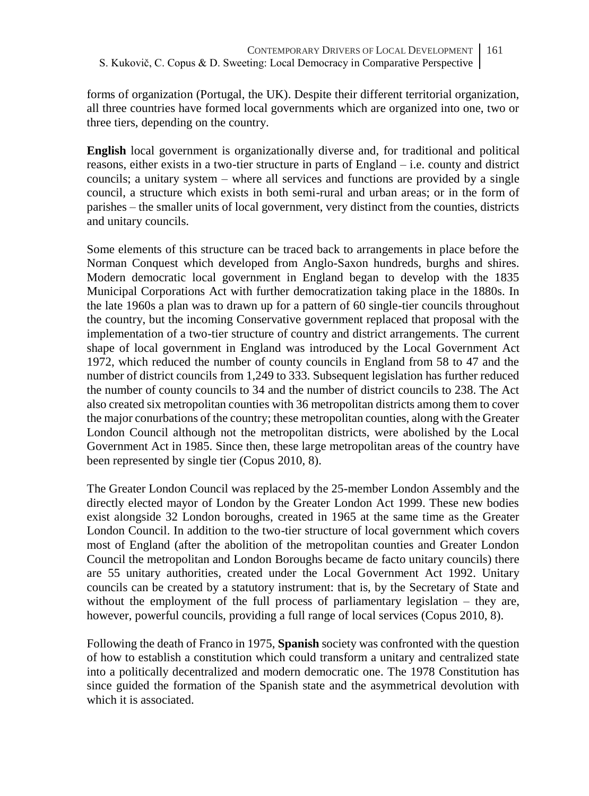forms of organization (Portugal, the UK). Despite their different territorial organization, all three countries have formed local governments which are organized into one, two or three tiers, depending on the country.

**English** local government is organizationally diverse and, for traditional and political reasons, either exists in a two-tier structure in parts of England – i.e. county and district councils; a unitary system – where all services and functions are provided by a single council, a structure which exists in both semi-rural and urban areas; or in the form of parishes – the smaller units of local government, very distinct from the counties, districts and unitary councils.

Some elements of this structure can be traced back to arrangements in place before the Norman Conquest which developed from Anglo-Saxon hundreds, burghs and shires. Modern democratic local government in England began to develop with the 1835 Municipal Corporations Act with further democratization taking place in the 1880s. In the late 1960s a plan was to drawn up for a pattern of 60 single-tier councils throughout the country, but the incoming Conservative government replaced that proposal with the implementation of a two-tier structure of country and district arrangements. The current shape of local government in England was introduced by the Local Government Act 1972, which reduced the number of county councils in England from 58 to 47 and the number of district councils from 1,249 to 333. Subsequent legislation has further reduced the number of county councils to 34 and the number of district councils to 238. The Act also created six metropolitan counties with 36 metropolitan districts among them to cover the major conurbations of the country; these metropolitan counties, along with the Greater London Council although not the metropolitan districts, were abolished by the Local Government Act in 1985. Since then, these large metropolitan areas of the country have been represented by single tier (Copus 2010, 8).

The Greater London Council was replaced by the 25-member London Assembly and the directly elected mayor of London by the Greater London Act 1999. These new bodies exist alongside 32 London boroughs, created in 1965 at the same time as the Greater London Council. In addition to the two-tier structure of local government which covers most of England (after the abolition of the metropolitan counties and Greater London Council the metropolitan and London Boroughs became de facto unitary councils) there are 55 unitary authorities, created under the Local Government Act 1992. Unitary councils can be created by a statutory instrument: that is, by the Secretary of State and without the employment of the full process of parliamentary legislation – they are, however, powerful councils, providing a full range of local services (Copus 2010, 8).

Following the death of Franco in 1975, **Spanish** society was confronted with the question of how to establish a constitution which could transform a unitary and centralized state into a politically decentralized and modern democratic one. The 1978 Constitution has since guided the formation of the Spanish state and the asymmetrical devolution with which it is associated.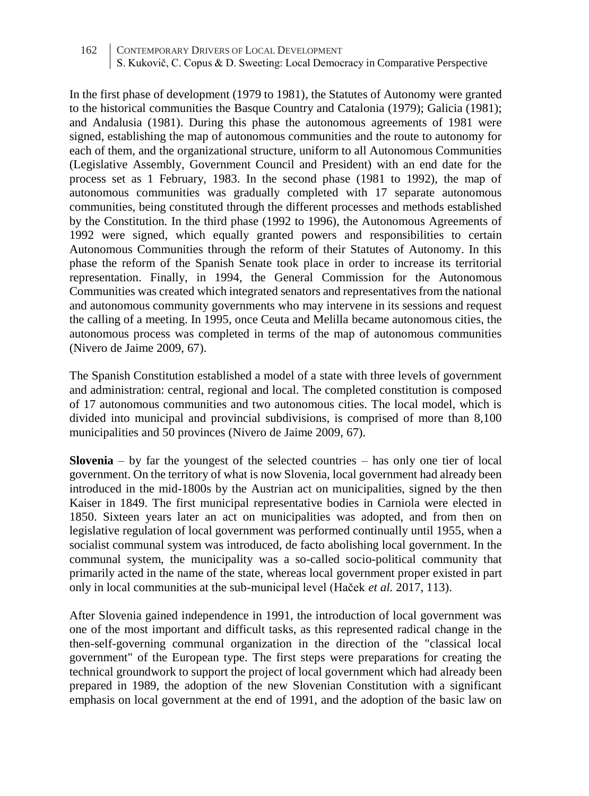In the first phase of development (1979 to 1981), the Statutes of Autonomy were granted to the historical communities the Basque Country and Catalonia (1979); Galicia (1981); and Andalusia (1981). During this phase the autonomous agreements of 1981 were signed, establishing the map of autonomous communities and the route to autonomy for each of them, and the organizational structure, uniform to all Autonomous Communities (Legislative Assembly, Government Council and President) with an end date for the process set as 1 February, 1983. In the second phase (1981 to 1992), the map of autonomous communities was gradually completed with 17 separate autonomous communities, being constituted through the different processes and methods established by the Constitution. In the third phase (1992 to 1996), the Autonomous Agreements of 1992 were signed, which equally granted powers and responsibilities to certain Autonomous Communities through the reform of their Statutes of Autonomy. In this phase the reform of the Spanish Senate took place in order to increase its territorial representation. Finally, in 1994, the General Commission for the Autonomous Communities was created which integrated senators and representatives from the national and autonomous community governments who may intervene in its sessions and request the calling of a meeting. In 1995, once Ceuta and Melilla became autonomous cities, the autonomous process was completed in terms of the map of autonomous communities (Nivero de Jaime 2009, 67).

The Spanish Constitution established a model of a state with three levels of government and administration: central, regional and local. The completed constitution is composed of 17 autonomous communities and two autonomous cities. The local model, which is divided into municipal and provincial subdivisions, is comprised of more than 8,100 municipalities and 50 provinces (Nivero de Jaime 2009, 67).

**Slovenia** – by far the youngest of the selected countries – has only one tier of local government. On the territory of what is now Slovenia, local government had already been introduced in the mid-1800s by the Austrian act on municipalities, signed by the then Kaiser in 1849. The first municipal representative bodies in Carniola were elected in 1850. Sixteen years later an act on municipalities was adopted, and from then on legislative regulation of local government was performed continually until 1955, when a socialist communal system was introduced, de facto abolishing local government. In the communal system, the municipality was a so-called socio-political community that primarily acted in the name of the state, whereas local government proper existed in part only in local communities at the sub-municipal level (Haček *et al.* 2017, 113).

After Slovenia gained independence in 1991, the introduction of local government was one of the most important and difficult tasks, as this represented radical change in the then-self-governing communal organization in the direction of the "classical local government" of the European type. The first steps were preparations for creating the technical groundwork to support the project of local government which had already been prepared in 1989, the adoption of the new Slovenian Constitution with a significant emphasis on local government at the end of 1991, and the adoption of the basic law on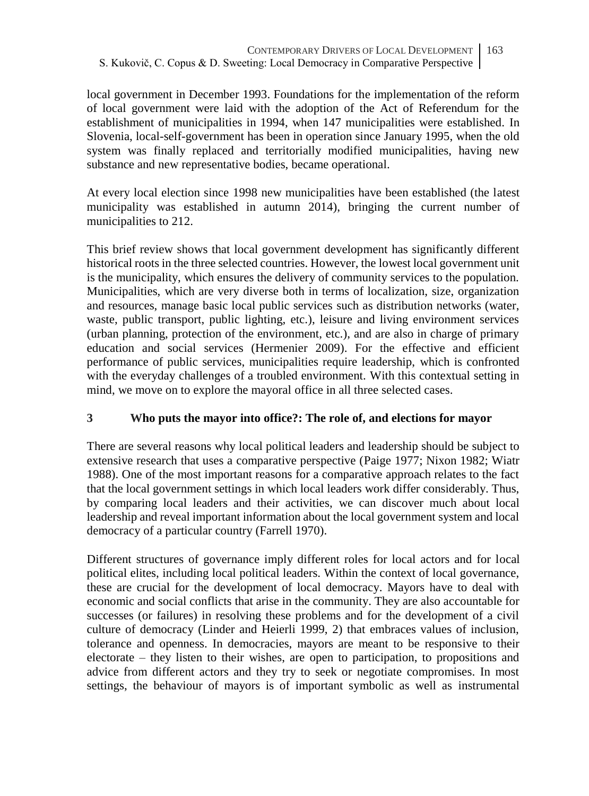local government in December 1993. Foundations for the implementation of the reform of local government were laid with the adoption of the Act of Referendum for the establishment of municipalities in 1994, when 147 municipalities were established. In Slovenia, local-self-government has been in operation since January 1995, when the old system was finally replaced and territorially modified municipalities, having new substance and new representative bodies, became operational.

At every local election since 1998 new municipalities have been established (the latest municipality was established in autumn 2014), bringing the current number of municipalities to 212.

This brief review shows that local government development has significantly different historical roots in the three selected countries. However, the lowest local government unit is the municipality, which ensures the delivery of community services to the population. Municipalities, which are very diverse both in terms of localization, size, organization and resources, manage basic local public services such as distribution networks (water, waste, public transport, public lighting, etc.), leisure and living environment services (urban planning, protection of the environment, etc.), and are also in charge of primary education and social services (Hermenier 2009). For the effective and efficient performance of public services, municipalities require leadership, which is confronted with the everyday challenges of a troubled environment. With this contextual setting in mind, we move on to explore the mayoral office in all three selected cases.

## **3 Who puts the mayor into office?: The role of, and elections for mayor**

There are several reasons why local political leaders and leadership should be subject to extensive research that uses a comparative perspective (Paige 1977; Nixon 1982; Wiatr 1988). One of the most important reasons for a comparative approach relates to the fact that the local government settings in which local leaders work differ considerably. Thus, by comparing local leaders and their activities, we can discover much about local leadership and reveal important information about the local government system and local democracy of a particular country (Farrell 1970).

Different structures of governance imply different roles for local actors and for local political elites, including local political leaders. Within the context of local governance, these are crucial for the development of local democracy. Mayors have to deal with economic and social conflicts that arise in the community. They are also accountable for successes (or failures) in resolving these problems and for the development of a civil culture of democracy (Linder and Heierli 1999, 2) that embraces values of inclusion, tolerance and openness. In democracies, mayors are meant to be responsive to their electorate – they listen to their wishes, are open to participation, to propositions and advice from different actors and they try to seek or negotiate compromises. In most settings, the behaviour of mayors is of important symbolic as well as instrumental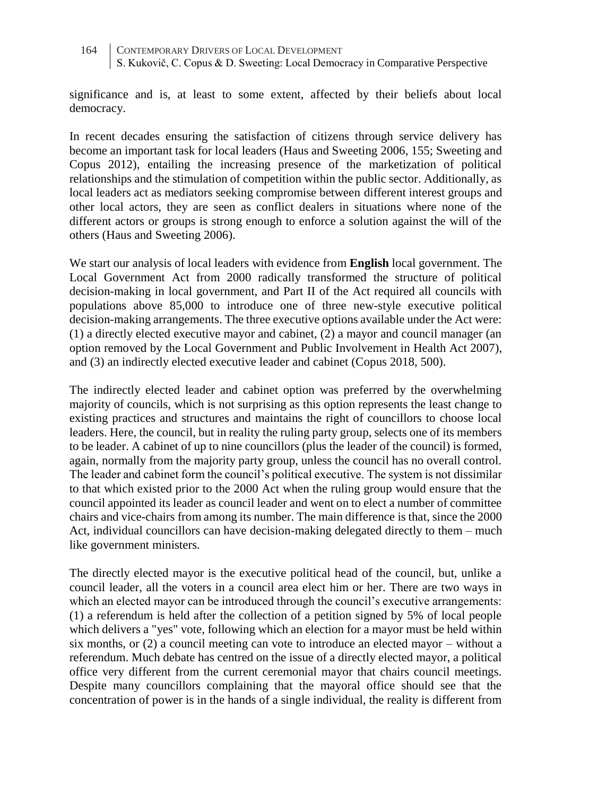significance and is, at least to some extent, affected by their beliefs about local democracy.

In recent decades ensuring the satisfaction of citizens through service delivery has become an important task for local leaders (Haus and Sweeting 2006, 155; Sweeting and Copus 2012), entailing the increasing presence of the marketization of political relationships and the stimulation of competition within the public sector. Additionally, as local leaders act as mediators seeking compromise between different interest groups and other local actors, they are seen as conflict dealers in situations where none of the different actors or groups is strong enough to enforce a solution against the will of the others (Haus and Sweeting 2006).

We start our analysis of local leaders with evidence from **English** local government. The Local Government Act from 2000 radically transformed the structure of political decision-making in local government, and Part II of the Act required all councils with populations above 85,000 to introduce one of three new-style executive political decision-making arrangements. The three executive options available under the Act were: (1) a directly elected executive mayor and cabinet, (2) a mayor and council manager (an option removed by the Local Government and Public Involvement in Health Act 2007), and (3) an indirectly elected executive leader and cabinet (Copus 2018, 500).

The indirectly elected leader and cabinet option was preferred by the overwhelming majority of councils, which is not surprising as this option represents the least change to existing practices and structures and maintains the right of councillors to choose local leaders. Here, the council, but in reality the ruling party group, selects one of its members to be leader. A cabinet of up to nine councillors (plus the leader of the council) is formed, again, normally from the majority party group, unless the council has no overall control. The leader and cabinet form the council's political executive. The system is not dissimilar to that which existed prior to the 2000 Act when the ruling group would ensure that the council appointed its leader as council leader and went on to elect a number of committee chairs and vice-chairs from among its number. The main difference is that, since the 2000 Act, individual councillors can have decision-making delegated directly to them – much like government ministers.

The directly elected mayor is the executive political head of the council, but, unlike a council leader, all the voters in a council area elect him or her. There are two ways in which an elected mayor can be introduced through the council's executive arrangements: (1) a referendum is held after the collection of a petition signed by 5% of local people which delivers a "yes" vote, following which an election for a mayor must be held within six months, or (2) a council meeting can vote to introduce an elected mayor – without a referendum. Much debate has centred on the issue of a directly elected mayor, a political office very different from the current ceremonial mayor that chairs council meetings. Despite many councillors complaining that the mayoral office should see that the concentration of power is in the hands of a single individual, the reality is different from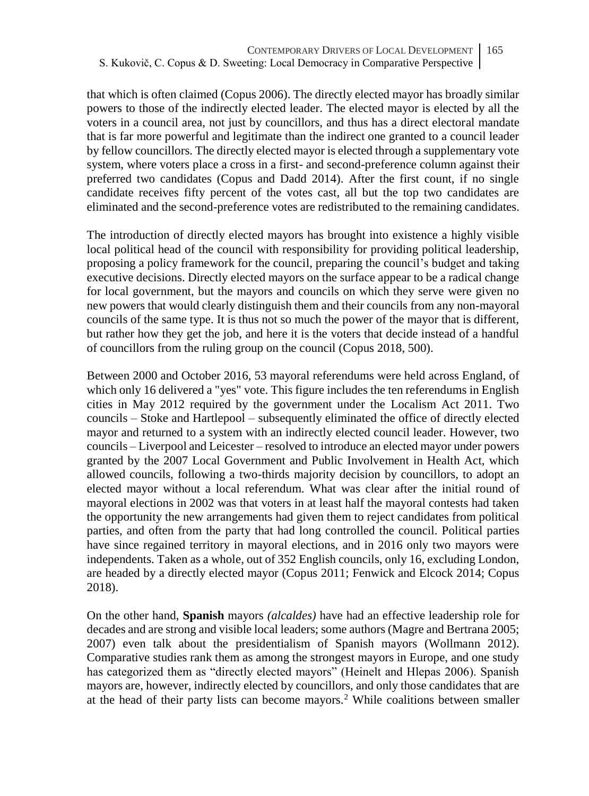that which is often claimed (Copus 2006). The directly elected mayor has broadly similar powers to those of the indirectly elected leader. The elected mayor is elected by all the voters in a council area, not just by councillors, and thus has a direct electoral mandate that is far more powerful and legitimate than the indirect one granted to a council leader by fellow councillors. The directly elected mayor is elected through a supplementary vote system, where voters place a cross in a first- and second-preference column against their preferred two candidates (Copus and Dadd 2014). After the first count, if no single candidate receives fifty percent of the votes cast, all but the top two candidates are eliminated and the second-preference votes are redistributed to the remaining candidates.

The introduction of directly elected mayors has brought into existence a highly visible local political head of the council with responsibility for providing political leadership, proposing a policy framework for the council, preparing the council's budget and taking executive decisions. Directly elected mayors on the surface appear to be a radical change for local government, but the mayors and councils on which they serve were given no new powers that would clearly distinguish them and their councils from any non-mayoral councils of the same type. It is thus not so much the power of the mayor that is different, but rather how they get the job, and here it is the voters that decide instead of a handful of councillors from the ruling group on the council (Copus 2018, 500).

Between 2000 and October 2016, 53 mayoral referendums were held across England, of which only 16 delivered a "yes" vote. This figure includes the ten referendums in English cities in May 2012 required by the government under the Localism Act 2011. Two councils – Stoke and Hartlepool – subsequently eliminated the office of directly elected mayor and returned to a system with an indirectly elected council leader. However, two councils – Liverpool and Leicester – resolved to introduce an elected mayor under powers granted by the 2007 Local Government and Public Involvement in Health Act, which allowed councils, following a two-thirds majority decision by councillors, to adopt an elected mayor without a local referendum. What was clear after the initial round of mayoral elections in 2002 was that voters in at least half the mayoral contests had taken the opportunity the new arrangements had given them to reject candidates from political parties, and often from the party that had long controlled the council. Political parties have since regained territory in mayoral elections, and in 2016 only two mayors were independents. Taken as a whole, out of 352 English councils, only 16, excluding London, are headed by a directly elected mayor (Copus 2011; Fenwick and Elcock 2014; Copus 2018).

On the other hand, **Spanish** mayors *(alcaldes)* have had an effective leadership role for decades and are strong and visible local leaders; some authors (Magre and Bertrana 2005; 2007) even talk about the presidentialism of Spanish mayors (Wollmann 2012). Comparative studies rank them as among the strongest mayors in Europe, and one study has categorized them as "directly elected mayors" (Heinelt and Hlepas 2006). Spanish mayors are, however, indirectly elected by councillors, and only those candidates that are at the head of their party lists can become mayors.<sup>2</sup> While coalitions between smaller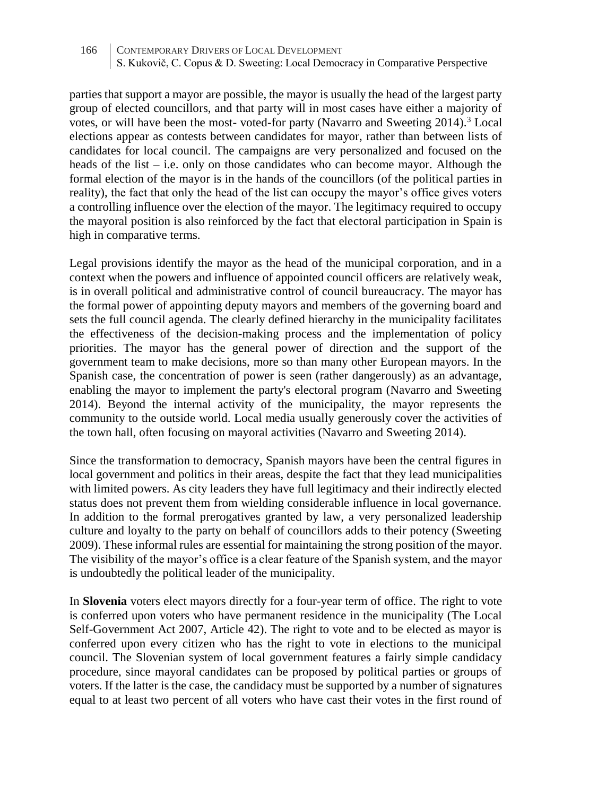parties that support a mayor are possible, the mayor is usually the head of the largest party group of elected councillors, and that party will in most cases have either a majority of votes, or will have been the most- voted-for party (Navarro and Sweeting 2014).<sup>3</sup> Local elections appear as contests between candidates for mayor, rather than between lists of candidates for local council. The campaigns are very personalized and focused on the heads of the list – i.e. only on those candidates who can become mayor. Although the formal election of the mayor is in the hands of the councillors (of the political parties in reality), the fact that only the head of the list can occupy the mayor's office gives voters a controlling influence over the election of the mayor. The legitimacy required to occupy the mayoral position is also reinforced by the fact that electoral participation in Spain is high in comparative terms.

Legal provisions identify the mayor as the head of the municipal corporation, and in a context when the powers and influence of appointed council officers are relatively weak, is in overall political and administrative control of council bureaucracy. The mayor has the formal power of appointing deputy mayors and members of the governing board and sets the full council agenda. The clearly defined hierarchy in the municipality facilitates the effectiveness of the decision-making process and the implementation of policy priorities. The mayor has the general power of direction and the support of the government team to make decisions, more so than many other European mayors. In the Spanish case, the concentration of power is seen (rather dangerously) as an advantage, enabling the mayor to implement the party's electoral program (Navarro and Sweeting 2014). Beyond the internal activity of the municipality, the mayor represents the community to the outside world. Local media usually generously cover the activities of the town hall, often focusing on mayoral activities (Navarro and Sweeting 2014).

Since the transformation to democracy, Spanish mayors have been the central figures in local government and politics in their areas, despite the fact that they lead municipalities with limited powers. As city leaders they have full legitimacy and their indirectly elected status does not prevent them from wielding considerable influence in local governance. In addition to the formal prerogatives granted by law, a very personalized leadership culture and loyalty to the party on behalf of councillors adds to their potency (Sweeting 2009). These informal rules are essential for maintaining the strong position of the mayor. The visibility of the mayor's office is a clear feature of the Spanish system, and the mayor is undoubtedly the political leader of the municipality.

In **Slovenia** voters elect mayors directly for a four-year term of office. The right to vote is conferred upon voters who have permanent residence in the municipality (The Local Self-Government Act 2007, Article 42). The right to vote and to be elected as mayor is conferred upon every citizen who has the right to vote in elections to the municipal council. The Slovenian system of local government features a fairly simple candidacy procedure, since mayoral candidates can be proposed by political parties or groups of voters. If the latter is the case, the candidacy must be supported by a number of signatures equal to at least two percent of all voters who have cast their votes in the first round of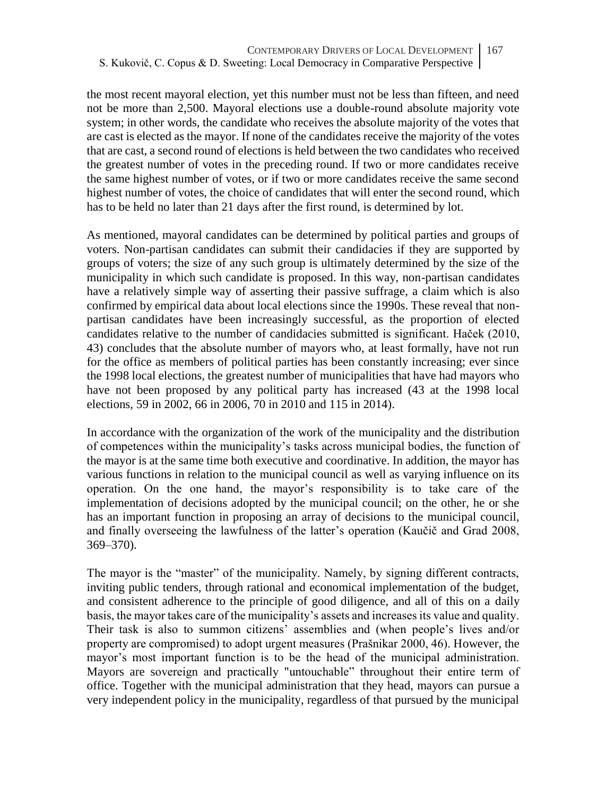the most recent mayoral election, yet this number must not be less than fifteen, and need not be more than 2,500. Mayoral elections use a double-round absolute majority vote system; in other words, the candidate who receives the absolute majority of the votes that are cast is elected as the mayor. If none of the candidates receive the majority of the votes that are cast, a second round of elections is held between the two candidates who received the greatest number of votes in the preceding round. If two or more candidates receive the same highest number of votes, or if two or more candidates receive the same second highest number of votes, the choice of candidates that will enter the second round, which has to be held no later than 21 days after the first round, is determined by lot.

As mentioned, mayoral candidates can be determined by political parties and groups of voters. Non-partisan candidates can submit their candidacies if they are supported by groups of voters; the size of any such group is ultimately determined by the size of the municipality in which such candidate is proposed. In this way, non-partisan candidates have a relatively simple way of asserting their passive suffrage, a claim which is also confirmed by empirical data about local elections since the 1990s. These reveal that nonpartisan candidates have been increasingly successful, as the proportion of elected candidates relative to the number of candidacies submitted is significant. Haček (2010, 43) concludes that the absolute number of mayors who, at least formally, have not run for the office as members of political parties has been constantly increasing; ever since the 1998 local elections, the greatest number of municipalities that have had mayors who have not been proposed by any political party has increased (43 at the 1998 local elections, 59 in 2002, 66 in 2006, 70 in 2010 and 115 in 2014).

In accordance with the organization of the work of the municipality and the distribution of competences within the municipality's tasks across municipal bodies, the function of the mayor is at the same time both executive and coordinative. In addition, the mayor has various functions in relation to the municipal council as well as varying influence on its operation. On the one hand, the mayor's responsibility is to take care of the implementation of decisions adopted by the municipal council; on the other, he or she has an important function in proposing an array of decisions to the municipal council, and finally overseeing the lawfulness of the latter's operation (Kaučič and Grad 2008, 369–370).

The mayor is the "master" of the municipality. Namely, by signing different contracts, inviting public tenders, through rational and economical implementation of the budget, and consistent adherence to the principle of good diligence, and all of this on a daily basis, the mayor takes care of the municipality's assets and increases its value and quality. Their task is also to summon citizens' assemblies and (when people's lives and/or property are compromised) to adopt urgent measures (Prašnikar 2000, 46). However, the mayor's most important function is to be the head of the municipal administration. Mayors are sovereign and practically "untouchable" throughout their entire term of office. Together with the municipal administration that they head, mayors can pursue a very independent policy in the municipality, regardless of that pursued by the municipal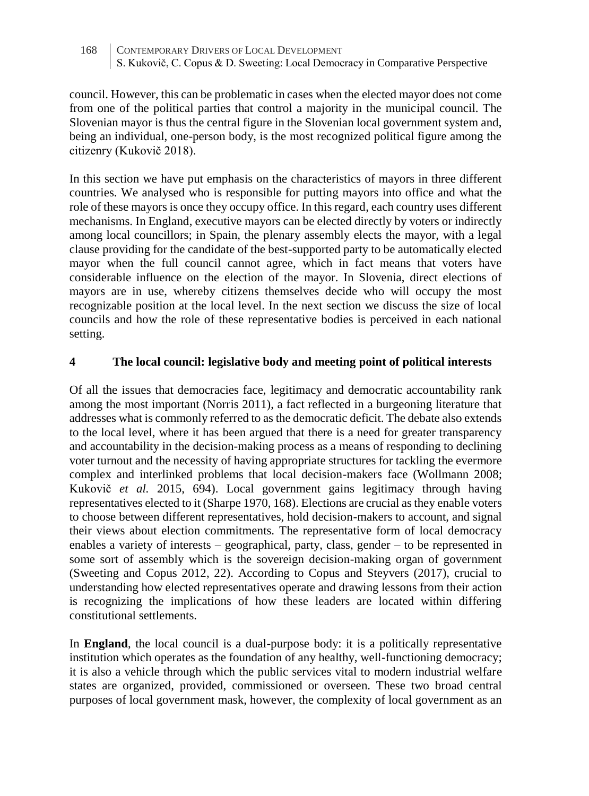council. However, this can be problematic in cases when the elected mayor does not come from one of the political parties that control a majority in the municipal council. The Slovenian mayor is thus the central figure in the Slovenian local government system and, being an individual, one-person body, is the most recognized political figure among the citizenry (Kukovič 2018).

In this section we have put emphasis on the characteristics of mayors in three different countries. We analysed who is responsible for putting mayors into office and what the role of these mayors is once they occupy office. In this regard, each country uses different mechanisms. In England, executive mayors can be elected directly by voters or indirectly among local councillors; in Spain, the plenary assembly elects the mayor, with a legal clause providing for the candidate of the best-supported party to be automatically elected mayor when the full council cannot agree, which in fact means that voters have considerable influence on the election of the mayor. In Slovenia, direct elections of mayors are in use, whereby citizens themselves decide who will occupy the most recognizable position at the local level. In the next section we discuss the size of local councils and how the role of these representative bodies is perceived in each national setting.

#### **4 The local council: legislative body and meeting point of political interests**

Of all the issues that democracies face, legitimacy and democratic accountability rank among the most important (Norris 2011), a fact reflected in a burgeoning literature that addresses what is commonly referred to as the democratic deficit. The debate also extends to the local level, where it has been argued that there is a need for greater transparency and accountability in the decision-making process as a means of responding to declining voter turnout and the necessity of having appropriate structures for tackling the evermore complex and interlinked problems that local decision-makers face (Wollmann 2008; Kukovič *et al.* 2015, 694). Local government gains legitimacy through having representatives elected to it (Sharpe 1970, 168). Elections are crucial as they enable voters to choose between different representatives, hold decision-makers to account, and signal their views about election commitments. The representative form of local democracy enables a variety of interests – geographical, party, class, gender – to be represented in some sort of assembly which is the sovereign decision-making organ of government (Sweeting and Copus 2012, 22). According to Copus and Steyvers (2017), crucial to understanding how elected representatives operate and drawing lessons from their action is recognizing the implications of how these leaders are located within differing constitutional settlements.

In **England**, the local council is a dual-purpose body: it is a politically representative institution which operates as the foundation of any healthy, well-functioning democracy; it is also a vehicle through which the public services vital to modern industrial welfare states are organized, provided, commissioned or overseen. These two broad central purposes of local government mask, however, the complexity of local government as an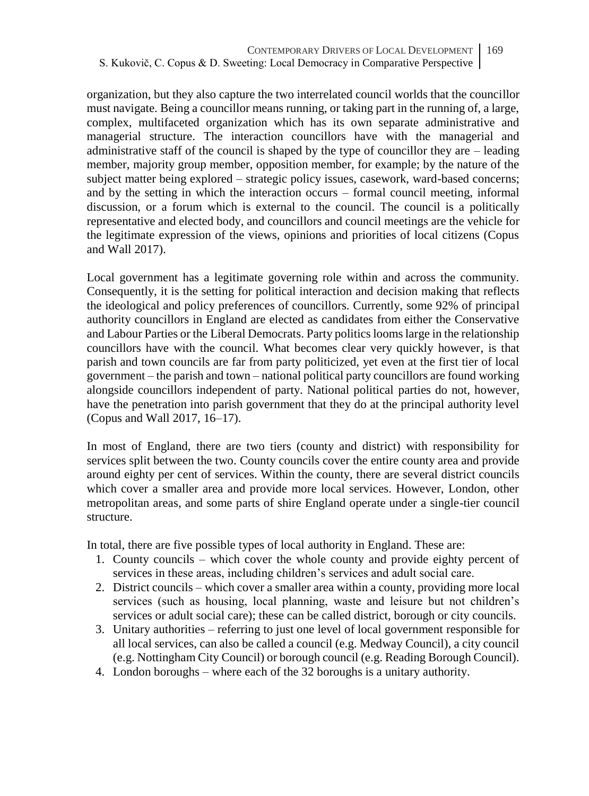organization, but they also capture the two interrelated council worlds that the councillor must navigate. Being a councillor means running, or taking part in the running of, a large, complex, multifaceted organization which has its own separate administrative and managerial structure. The interaction councillors have with the managerial and administrative staff of the council is shaped by the type of councillor they are – leading member, majority group member, opposition member, for example; by the nature of the subject matter being explored – strategic policy issues, casework, ward-based concerns; and by the setting in which the interaction occurs – formal council meeting, informal discussion, or a forum which is external to the council. The council is a politically representative and elected body, and councillors and council meetings are the vehicle for the legitimate expression of the views, opinions and priorities of local citizens (Copus and Wall 2017).

Local government has a legitimate governing role within and across the community. Consequently, it is the setting for political interaction and decision making that reflects the ideological and policy preferences of councillors. Currently, some 92% of principal authority councillors in England are elected as candidates from either the Conservative and Labour Parties or the Liberal Democrats. Party politics looms large in the relationship councillors have with the council. What becomes clear very quickly however, is that parish and town councils are far from party politicized, yet even at the first tier of local government – the parish and town – national political party councillors are found working alongside councillors independent of party. National political parties do not, however, have the penetration into parish government that they do at the principal authority level (Copus and Wall 2017, 16–17).

In most of England, there are two tiers (county and district) with responsibility for services split between the two. County councils cover the entire county area and provide around eighty per cent of services. Within the county, there are several district councils which cover a smaller area and provide more local services. However, London, other metropolitan areas, and some parts of shire England operate under a single-tier council structure.

In total, there are five possible types of local authority in England. These are:

- 1. County councils which cover the whole county and provide eighty percent of services in these areas, including children's services and adult social care.
- 2. District councils which cover a smaller area within a county, providing more local services (such as housing, local planning, waste and leisure but not children's services or adult social care); these can be called district, borough or city councils.
- 3. Unitary authorities referring to just one level of local government responsible for all local services, can also be called a council (e.g. Medway Council), a city council (e.g. Nottingham City Council) or borough council (e.g. Reading Borough Council).
- 4. London boroughs where each of the 32 boroughs is a unitary authority.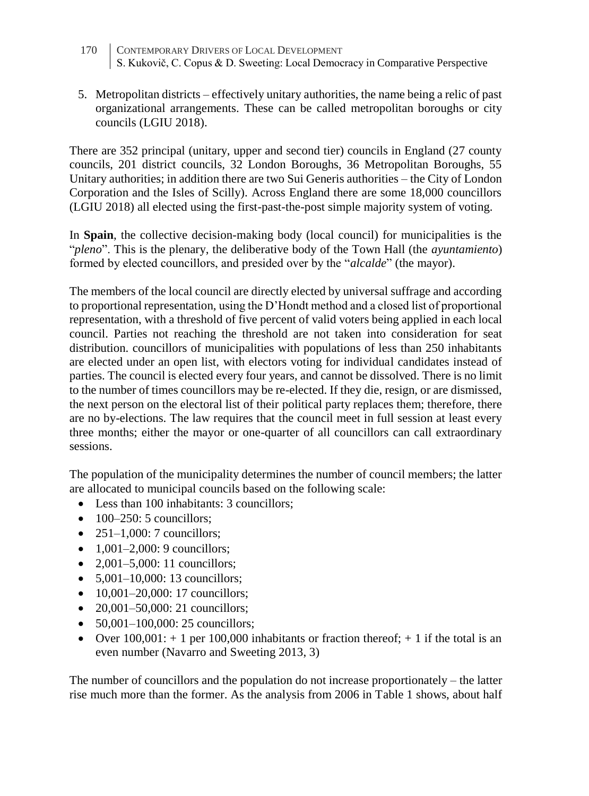- 170 CONTEMPORARY DRIVERS OF LOCAL DEVELOPMENT S. Kukovič, C. Copus & D. Sweeting: Local Democracy in Comparative Perspective
- 5. Metropolitan districts effectively unitary authorities, the name being a relic of past organizational arrangements. These can be called metropolitan boroughs or city councils (LGIU 2018).

There are 352 principal (unitary, upper and second tier) councils in England (27 county councils, 201 district councils, 32 London Boroughs, 36 Metropolitan Boroughs, 55 Unitary authorities; in addition there are two Sui Generis authorities – the City of London Corporation and the Isles of Scilly). Across England there are some 18,000 councillors (LGIU 2018) all elected using the first-past-the-post simple majority system of voting.

In **Spain**, the collective decision-making body (local council) for municipalities is the "*pleno*". This is the plenary, the deliberative body of the Town Hall (the *ayuntamiento*) formed by elected councillors, and presided over by the "*alcalde*" (the mayor).

The members of the local council are directly elected by universal suffrage and according to proportional representation, using the D'Hondt method and a closed list of proportional representation, with a threshold of five percent of valid voters being applied in each local council. Parties not reaching the threshold are not taken into consideration for seat distribution. councillors of municipalities with populations of less than 250 inhabitants are elected under an open list, with electors voting for individual candidates instead of parties. The council is elected every four years, and cannot be dissolved. There is no limit to the number of times councillors may be re-elected. If they die, resign, or are dismissed, the next person on the electoral list of their political party replaces them; therefore, there are no by-elections. The law requires that the council meet in full session at least every three months; either the mayor or one-quarter of all councillors can call extraordinary sessions.

The population of the municipality determines the number of council members; the latter are allocated to municipal councils based on the following scale:

- Less than 100 inhabitants: 3 councillors:
- $\bullet$  100–250: 5 councillors:
- $\bullet$  251–1,000: 7 councillors:
- $1,001-2,000:9$  councillors;
- 2,001–5,000: 11 councillors;
- $5.001 10.000$ : 13 councillors:
- 10,001–20,000: 17 councillors;
- 20,001–50,000: 21 councillors;
- 50,001–100,000: 25 councillors;
- Over  $100,001: + 1$  per  $100,000$  inhabitants or fraction thereof;  $+ 1$  if the total is an even number (Navarro and Sweeting 2013, 3)

The number of councillors and the population do not increase proportionately – the latter rise much more than the former. As the analysis from 2006 in Table 1 shows, about half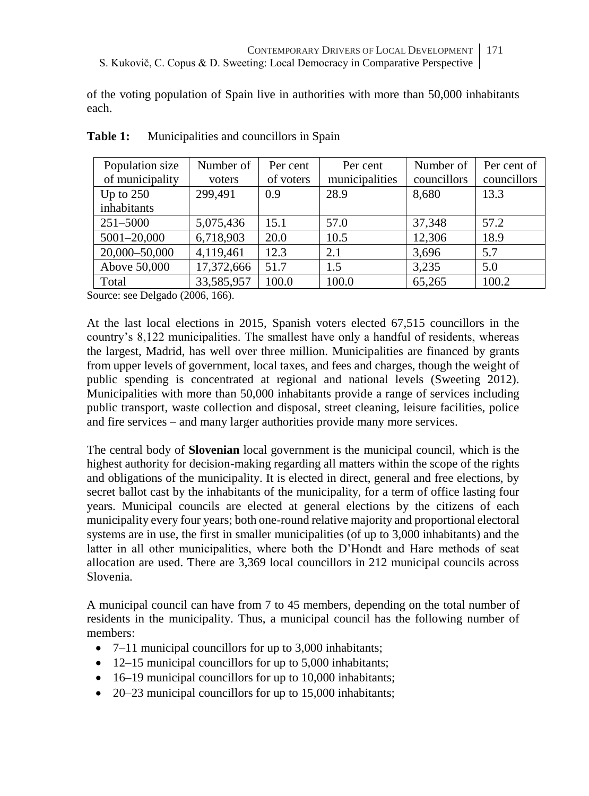of the voting population of Spain live in authorities with more than 50,000 inhabitants each.

| Population size | Number of  | Per cent  | Per cent       | Number of   | Per cent of |
|-----------------|------------|-----------|----------------|-------------|-------------|
| of municipality | voters     | of voters | municipalities | councillors | councillors |
| Up to $250$     | 299,491    | 0.9       | 28.9           | 8.680       | 13.3        |
| inhabitants     |            |           |                |             |             |
| $251 - 5000$    | 5,075,436  | 15.1      | 57.0           | 37.348      | 57.2        |
| 5001-20,000     | 6,718,903  | 20.0      | 10.5           | 12,306      | 18.9        |
| 20,000-50,000   | 4,119,461  | 12.3      | 2.1            | 3.696       | 5.7         |
| Above 50,000    | 17,372,666 | 51.7      | 1.5            | 3,235       | 5.0         |
| Total           | 33,585,957 | 100.0     | 100.0          | 65,265      | 100.2       |

### **Table 1:** Municipalities and councillors in Spain

Source: see Delgado (2006, 166).

At the last local elections in 2015, Spanish voters elected 67,515 councillors in the country's 8,122 municipalities. The smallest have only a handful of residents, whereas the largest, Madrid, has well over three million. Municipalities are financed by grants from upper levels of government, local taxes, and fees and charges, though the weight of public spending is concentrated at regional and national levels (Sweeting 2012). Municipalities with more than 50,000 inhabitants provide a range of services including public transport, waste collection and disposal, street cleaning, leisure facilities, police and fire services – and many larger authorities provide many more services.

The central body of **Slovenian** local government is the municipal council, which is the highest authority for decision-making regarding all matters within the scope of the rights and obligations of the municipality. It is elected in direct, general and free elections, by secret ballot cast by the inhabitants of the municipality, for a term of office lasting four years. Municipal councils are elected at general elections by the citizens of each municipality every four years; both one-round relative majority and proportional electoral systems are in use, the first in smaller municipalities (of up to 3,000 inhabitants) and the latter in all other municipalities, where both the D'Hondt and Hare methods of seat allocation are used. There are 3,369 local councillors in 212 municipal councils across Slovenia.

A municipal council can have from 7 to 45 members, depending on the total number of residents in the municipality. Thus, a municipal council has the following number of members:

- 7–11 municipal councillors for up to 3,000 inhabitants;
- 12–15 municipal councillors for up to 5,000 inhabitants:
- 16–19 municipal councillors for up to 10,000 inhabitants;
- 20–23 municipal councillors for up to 15,000 inhabitants;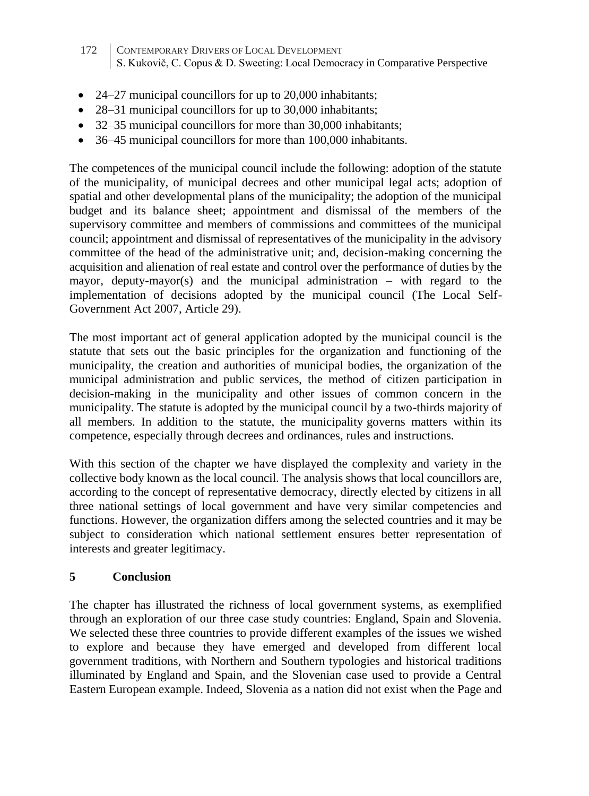- 172 CONTEMPORARY DRIVERS OF LOCAL DEVELOPMENT S. Kukovič, C. Copus & D. Sweeting: Local Democracy in Comparative Perspective
- 24–27 municipal councillors for up to 20,000 inhabitants;
- 28–31 municipal councillors for up to 30,000 inhabitants;
- 32–35 municipal councillors for more than 30,000 inhabitants;
- 36–45 municipal councillors for more than 100,000 inhabitants.

The competences of the municipal council include the following: adoption of the statute of the municipality, of municipal decrees and other municipal legal acts; adoption of spatial and other developmental plans of the municipality; the adoption of the municipal budget and its balance sheet; appointment and dismissal of the members of the supervisory committee and members of commissions and committees of the municipal council; appointment and dismissal of representatives of the municipality in the advisory committee of the head of the administrative unit; and, decision-making concerning the acquisition and alienation of real estate and control over the performance of duties by the mayor, deputy-mayor(s) and the municipal administration – with regard to the implementation of decisions adopted by the municipal council (The Local Self-Government Act 2007, Article 29).

The most important act of general application adopted by the municipal council is the statute that sets out the basic principles for the organization and functioning of the municipality, the creation and authorities of municipal bodies, the organization of the municipal administration and public services, the method of citizen participation in decision-making in the municipality and other issues of common concern in the municipality. The statute is adopted by the municipal council by a two-thirds majority of all members. In addition to the statute, the municipality governs matters within its competence, especially through decrees and ordinances, rules and instructions.

With this section of the chapter we have displayed the complexity and variety in the collective body known as the local council. The analysis shows that local councillors are, according to the concept of representative democracy, directly elected by citizens in all three national settings of local government and have very similar competencies and functions. However, the organization differs among the selected countries and it may be subject to consideration which national settlement ensures better representation of interests and greater legitimacy.

### **5 Conclusion**

The chapter has illustrated the richness of local government systems, as exemplified through an exploration of our three case study countries: England, Spain and Slovenia. We selected these three countries to provide different examples of the issues we wished to explore and because they have emerged and developed from different local government traditions, with Northern and Southern typologies and historical traditions illuminated by England and Spain, and the Slovenian case used to provide a Central Eastern European example. Indeed, Slovenia as a nation did not exist when the Page and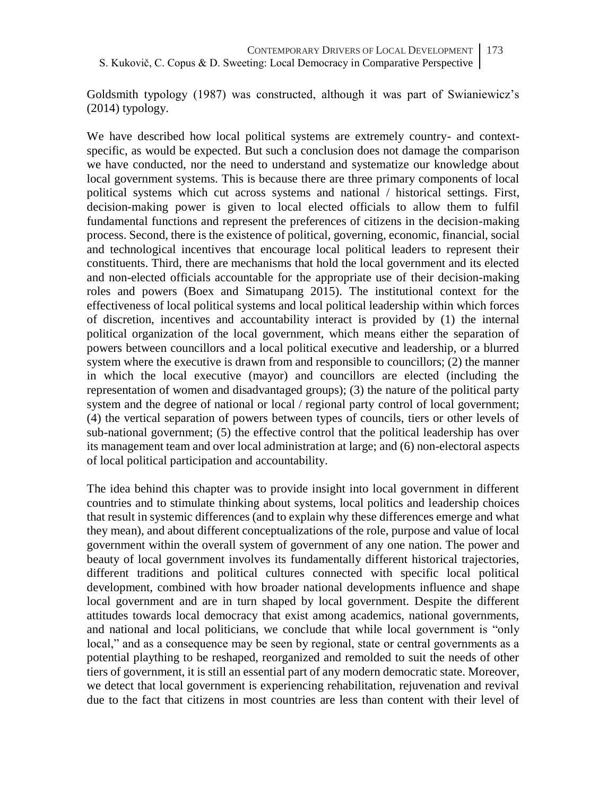Goldsmith typology (1987) was constructed, although it was part of Swianiewicz's (2014) typology.

We have described how local political systems are extremely country- and contextspecific, as would be expected. But such a conclusion does not damage the comparison we have conducted, nor the need to understand and systematize our knowledge about local government systems. This is because there are three primary components of local political systems which cut across systems and national / historical settings. First, decision-making power is given to local elected officials to allow them to fulfil fundamental functions and represent the preferences of citizens in the decision-making process. Second, there is the existence of political, governing, economic, financial, social and technological incentives that encourage local political leaders to represent their constituents. Third, there are mechanisms that hold the local government and its elected and non-elected officials accountable for the appropriate use of their decision-making roles and powers (Boex and Simatupang 2015). The institutional context for the effectiveness of local political systems and local political leadership within which forces of discretion, incentives and accountability interact is provided by (1) the internal political organization of the local government, which means either the separation of powers between councillors and a local political executive and leadership, or a blurred system where the executive is drawn from and responsible to councillors; (2) the manner in which the local executive (mayor) and councillors are elected (including the representation of women and disadvantaged groups); (3) the nature of the political party system and the degree of national or local / regional party control of local government; (4) the vertical separation of powers between types of councils, tiers or other levels of sub-national government; (5) the effective control that the political leadership has over its management team and over local administration at large; and (6) non-electoral aspects of local political participation and accountability.

The idea behind this chapter was to provide insight into local government in different countries and to stimulate thinking about systems, local politics and leadership choices that result in systemic differences (and to explain why these differences emerge and what they mean), and about different conceptualizations of the role, purpose and value of local government within the overall system of government of any one nation. The power and beauty of local government involves its fundamentally different historical trajectories, different traditions and political cultures connected with specific local political development, combined with how broader national developments influence and shape local government and are in turn shaped by local government. Despite the different attitudes towards local democracy that exist among academics, national governments, and national and local politicians, we conclude that while local government is "only local," and as a consequence may be seen by regional, state or central governments as a potential plaything to be reshaped, reorganized and remolded to suit the needs of other tiers of government, it is still an essential part of any modern democratic state. Moreover, we detect that local government is experiencing rehabilitation, rejuvenation and revival due to the fact that citizens in most countries are less than content with their level of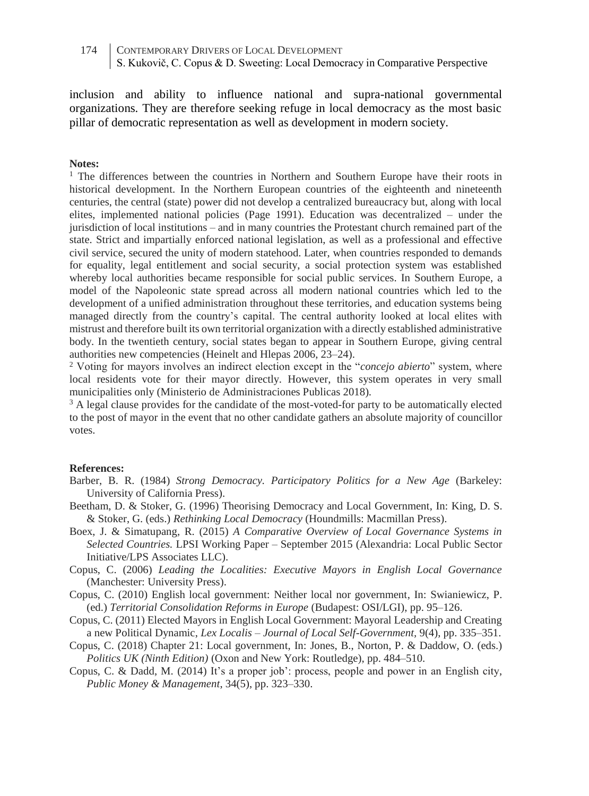inclusion and ability to influence national and supra-national governmental organizations. They are therefore seeking refuge in local democracy as the most basic pillar of democratic representation as well as development in modern society.

#### **Notes:**

 $1$  The differences between the countries in Northern and Southern Europe have their roots in historical development. In the Northern European countries of the eighteenth and nineteenth centuries, the central (state) power did not develop a centralized bureaucracy but, along with local elites, implemented national policies (Page 1991). Education was decentralized – under the jurisdiction of local institutions – and in many countries the Protestant church remained part of the state. Strict and impartially enforced national legislation, as well as a professional and effective civil service, secured the unity of modern statehood. Later, when countries responded to demands for equality, legal entitlement and social security, a social protection system was established whereby local authorities became responsible for social public services. In Southern Europe, a model of the Napoleonic state spread across all modern national countries which led to the development of a unified administration throughout these territories, and education systems being managed directly from the country's capital. The central authority looked at local elites with mistrust and therefore built its own territorial organization with a directly established administrative body. In the twentieth century, social states began to appear in Southern Europe, giving central authorities new competencies (Heinelt and Hlepas 2006, 23–24).

<sup>2</sup> Voting for mayors involves an indirect election except in the "*concejo abierto*" system, where local residents vote for their mayor directly. However, this system operates in very small municipalities only (Ministerio de Administraciones Publicas 2018).

<sup>3</sup> A legal clause provides for the candidate of the most-voted-for party to be automatically elected to the post of mayor in the event that no other candidate gathers an absolute majority of councillor votes.

#### **References:**

- Barber, B. R. (1984) *Strong Democracy. Participatory Politics for a New Age* (Barkeley: University of California Press).
- Beetham, D. & Stoker, G. (1996) Theorising Democracy and Local Government, In: King, D. S. & Stoker, G. (eds.) *Rethinking Local Democracy* (Houndmills: Macmillan Press).
- Boex, J. & Simatupang, R. (2015) *A Comparative Overview of Local Governance Systems in Selected Countries.* LPSI Working Paper – September 2015 (Alexandria: Local Public Sector Initiative/LPS Associates LLC).
- Copus, C. (2006) *Leading the Localities: Executive Mayors in English Local Governance* (Manchester: University Press).
- Copus, C. (2010) English local government: Neither local nor government, In: Swianiewicz, P. (ed.) *Territorial Consolidation Reforms in Europe* (Budapest: OSI/LGI), pp. 95–126.
- Copus, C. (2011) Elected Mayors in English Local Government: Mayoral Leadership and Creating a new Political Dynamic, *Lex Localis – Journal of Local Self-Government,* 9(4), pp. 335–351.
- Copus, C. (2018) Chapter 21: Local government, In: Jones, B., Norton, P. & Daddow, O. (eds.) *Politics UK (Ninth Edition)* (Oxon and New York: Routledge), pp. 484–510.
- Copus, C. & Dadd, M. (2014) It's a proper job': process, people and power in an English city, *Public Money & Management*, 34(5), pp. 323–330.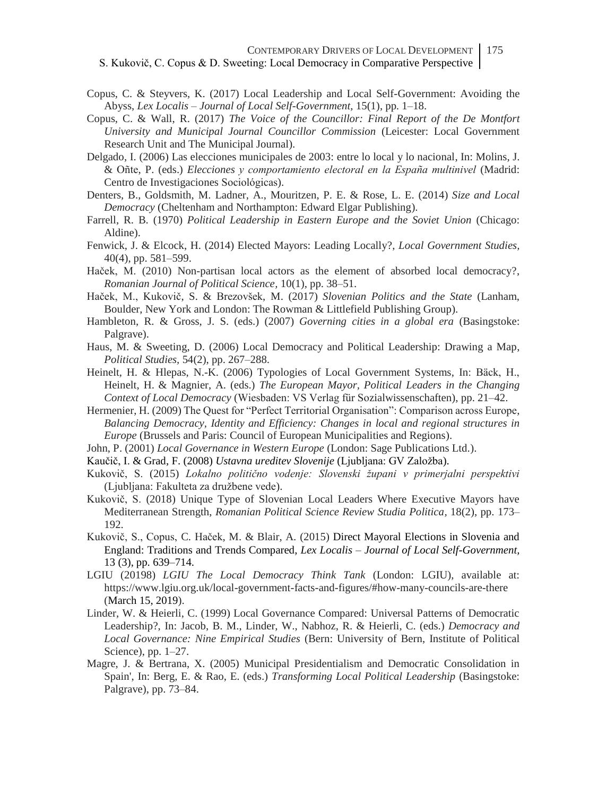- Copus, C. & Steyvers, K. (2017) Local Leadership and Local Self-Government: Avoiding the Abyss, *Lex Localis – Journal of Local Self-Government,* 15(1), pp. 1–18.
- Copus, C. & Wall, R. (2017) *The Voice of the Councillor: Final Report of the De Montfort University and Municipal Journal Councillor Commission* (Leicester: Local Government Research Unit and The Municipal Journal).
- Delgado, I. (2006) Las elecciones municipales de 2003: entre lo local y lo nacional, In: Molins, J. & Oñte, P. (eds.) *Elecciones y comportamiento electoral en la España multinivel* (Madrid: Centro de Investigaciones Sociológicas).
- Denters, B., Goldsmith, M. Ladner, A., Mouritzen, P. E. & Rose, L. E. (2014) *Size and Local Democracy* (Cheltenham and Northampton: Edward Elgar Publishing).
- Farrell, R. B. (1970) *Political Leadership in Eastern Europe and the Soviet Union* (Chicago: Aldine).
- Fenwick, J. & Elcock, H. (2014) Elected Mayors: Leading Locally?, *Local Government Studies,* 40(4), pp. 581–599.
- Haček, M. (2010) Non-partisan local actors as the element of absorbed local democracy?, *Romanian Journal of Political Science,* 10(1), pp. 38–51.
- Haček, M., Kukovič, S. & Brezovšek, M. (2017) *Slovenian Politics and the State* (Lanham, Boulder, New York and London: The Rowman & Littlefield Publishing Group).
- Hambleton, R. & Gross, J. S. (eds.) (2007) *Governing cities in a global era* (Basingstoke: Palgrave).
- Haus, M. & Sweeting, D. (2006) Local Democracy and Political Leadership: Drawing a Map, *Political Studies,* 54(2), pp. 267–288.
- Heinelt, H. & Hlepas, N.-K. (2006) Typologies of Local Government Systems, In: Bäck, H., Heinelt, H. & Magnier, A. (eds.) *The European Mayor, Political Leaders in the Changing Context of Local Democracy* (Wiesbaden: VS Verlag für Sozialwissenschaften), pp. 21–42.
- Hermenier, H. (2009) The Quest for "Perfect Territorial Organisation": Comparison across Europe, *Balancing Democracy, Identity and Efficiency: Changes in local and regional structures in Europe* (Brussels and Paris: Council of European Municipalities and Regions).
- John, P. (2001) *Local Governance in Western Europe* (London: Sage Publications Ltd.).
- Kaučič, I. & Grad, F. (2008) *Ustavna ureditev Slovenije* (Ljubljana: GV Založba).
- Kukovič, S. (2015) *Lokalno politično vodenje: Slovenski župani v primerjalni perspektivi* (Ljubljana: Fakulteta za družbene vede).
- Kukovič, S. (2018) Unique Type of Slovenian Local Leaders Where Executive Mayors have Mediterranean Strength, *Romanian Political Science Review Studia Politica,* 18(2), pp. 173– 192.
- Kukovič, S., Copus, C. Haček, M. & Blair, A. (2015) Direct Mayoral Elections in Slovenia and England: Traditions and Trends Compared, *Lex Localis – Journal of Local Self-Government,* 13 (3), pp. 639–714.
- LGIU (20198) *LGIU The Local Democracy Think Tank* (London: LGIU), available at: https://www.lgiu.org.uk/local-government-facts-and-figures/#how-many-councils-are-there (March 15, 2019).
- Linder, W. & Heierli, C. (1999) Local Governance Compared: Universal Patterns of Democratic Leadership?, In: Jacob, B. M., Linder, W., Nabhoz, R. & Heierli, C. (eds.) *Democracy and Local Governance: Nine Empirical Studies* (Bern: University of Bern, Institute of Political Science), pp. 1–27.
- Magre, J. & Bertrana, X. (2005) Municipal Presidentialism and Democratic Consolidation in Spain', In: Berg, E. & Rao, E. (eds.) *Transforming Local Political Leadership* (Basingstoke: Palgrave), pp. 73–84.